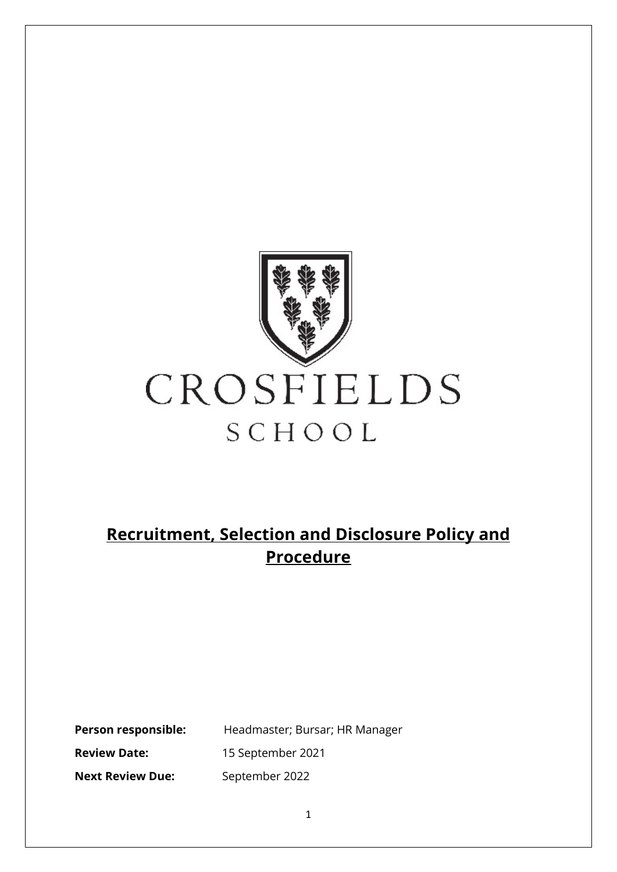

# **Recruitment, Selection and Disclosure Policy and Procedure**

**PEREFER**: Headmaster; Bursar; HR Manager **Review Date:** 15 September 2021 **Next Review Due:** September 2022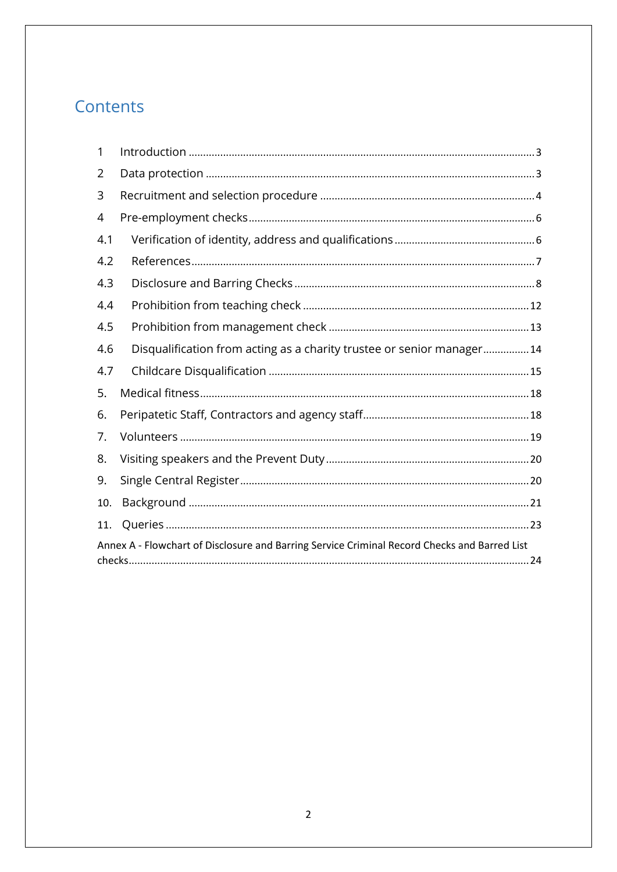# Contents

| 1                                                                                            |                                                                       |
|----------------------------------------------------------------------------------------------|-----------------------------------------------------------------------|
| 2                                                                                            |                                                                       |
| 3                                                                                            |                                                                       |
| 4                                                                                            |                                                                       |
| 4.1                                                                                          |                                                                       |
| 4.2                                                                                          |                                                                       |
| 4.3                                                                                          |                                                                       |
| 4.4                                                                                          |                                                                       |
| 4.5                                                                                          |                                                                       |
| 4.6                                                                                          | Disqualification from acting as a charity trustee or senior manager14 |
| 4.7                                                                                          |                                                                       |
| 5.                                                                                           |                                                                       |
| 6.                                                                                           |                                                                       |
| 7.                                                                                           |                                                                       |
| 8.                                                                                           |                                                                       |
| 9.                                                                                           |                                                                       |
| 10.                                                                                          |                                                                       |
| 11.                                                                                          |                                                                       |
| Annex A - Flowchart of Disclosure and Barring Service Criminal Record Checks and Barred List |                                                                       |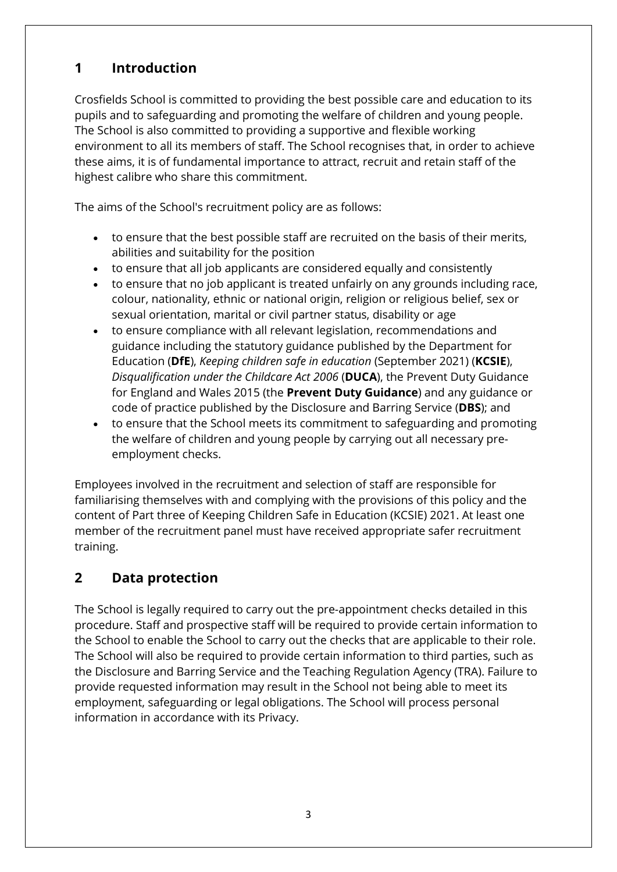# <span id="page-2-0"></span>**1 Introduction**

Crosfields School is committed to providing the best possible care and education to its pupils and to safeguarding and promoting the welfare of children and young people. The School is also committed to providing a supportive and flexible working environment to all its members of staff. The School recognises that, in order to achieve these aims, it is of fundamental importance to attract, recruit and retain staff of the highest calibre who share this commitment.

The aims of the School's recruitment policy are as follows:

- to ensure that the best possible staff are recruited on the basis of their merits, abilities and suitability for the position
- to ensure that all job applicants are considered equally and consistently
- to ensure that no job applicant is treated unfairly on any grounds including race, colour, nationality, ethnic or national origin, religion or religious belief, sex or sexual orientation, marital or civil partner status, disability or age
- to ensure compliance with all relevant legislation, recommendations and guidance including the statutory guidance published by the Department for Education (**DfE**), *Keeping children safe in education* (September 2021) (**KCSIE**), *Disqualification under the Childcare Act 2006* (**DUCA**), the Prevent Duty Guidance for England and Wales 2015 (the **Prevent Duty Guidance**) and any guidance or code of practice published by the Disclosure and Barring Service (**DBS**); and
- to ensure that the School meets its commitment to safeguarding and promoting the welfare of children and young people by carrying out all necessary preemployment checks.

Employees involved in the recruitment and selection of staff are responsible for familiarising themselves with and complying with the provisions of this policy and the content of Part three of Keeping Children Safe in Education (KCSIE) 2021. At least one member of the recruitment panel must have received appropriate safer recruitment training.

# <span id="page-2-1"></span>**2 Data protection**

The School is legally required to carry out the pre-appointment checks detailed in this procedure. Staff and prospective staff will be required to provide certain information to the School to enable the School to carry out the checks that are applicable to their role. The School will also be required to provide certain information to third parties, such as the Disclosure and Barring Service and the Teaching Regulation Agency (TRA). Failure to provide requested information may result in the School not being able to meet its employment, safeguarding or legal obligations. The School will process personal information in accordance with its Privacy.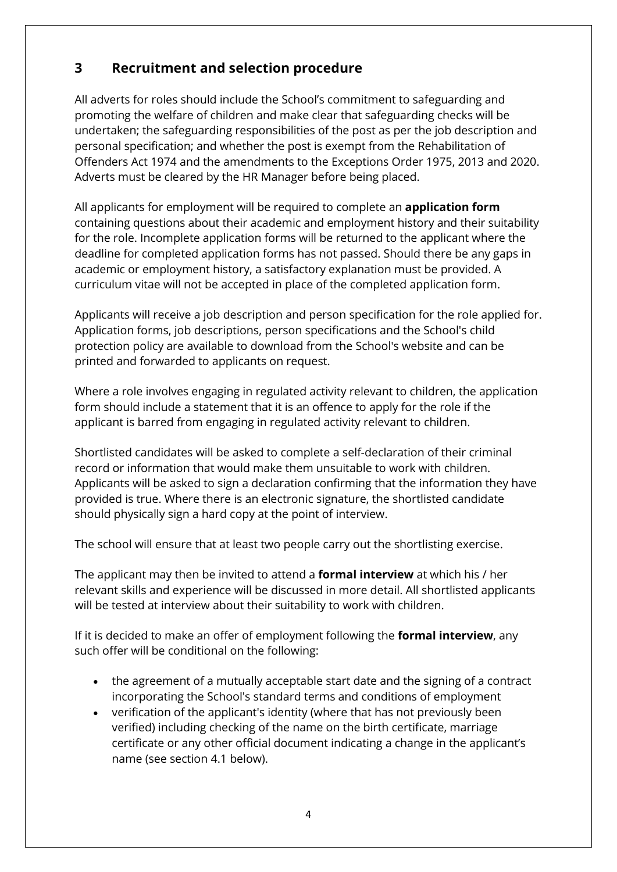# <span id="page-3-0"></span>**3 Recruitment and selection procedure**

All adverts for roles should include the School's commitment to safeguarding and promoting the welfare of children and make clear that safeguarding checks will be undertaken; the safeguarding responsibilities of the post as per the job description and personal specification; and whether the post is exempt from the Rehabilitation of Offenders Act 1974 and the amendments to the Exceptions Order 1975, 2013 and 2020. Adverts must be cleared by the HR Manager before being placed.

All applicants for employment will be required to complete an **application form**  containing questions about their academic and employment history and their suitability for the role. Incomplete application forms will be returned to the applicant where the deadline for completed application forms has not passed. Should there be any gaps in academic or employment history, a satisfactory explanation must be provided. A curriculum vitae will not be accepted in place of the completed application form.

Applicants will receive a job description and person specification for the role applied for. Application forms, job descriptions, person specifications and the School's child protection policy are available to download from the School's website and can be printed and forwarded to applicants on request.

Where a role involves engaging in regulated activity relevant to children, the application form should include a statement that it is an offence to apply for the role if the applicant is barred from engaging in regulated activity relevant to children.

Shortlisted candidates will be asked to complete a self-declaration of their criminal record or information that would make them unsuitable to work with children. Applicants will be asked to sign a declaration confirming that the information they have provided is true. Where there is an electronic signature, the shortlisted candidate should physically sign a hard copy at the point of interview.

The school will ensure that at least two people carry out the shortlisting exercise.

The applicant may then be invited to attend a **formal interview** at which his / her relevant skills and experience will be discussed in more detail. All shortlisted applicants will be tested at interview about their suitability to work with children.

If it is decided to make an offer of employment following the **formal interview**, any such offer will be conditional on the following:

- the agreement of a mutually acceptable start date and the signing of a contract incorporating the School's standard terms and conditions of employment
- verification of the applicant's identity (where that has not previously been verified) including checking of the name on the birth certificate, marriage certificate or any other official document indicating a change in the applicant's name (see section 4.1 below).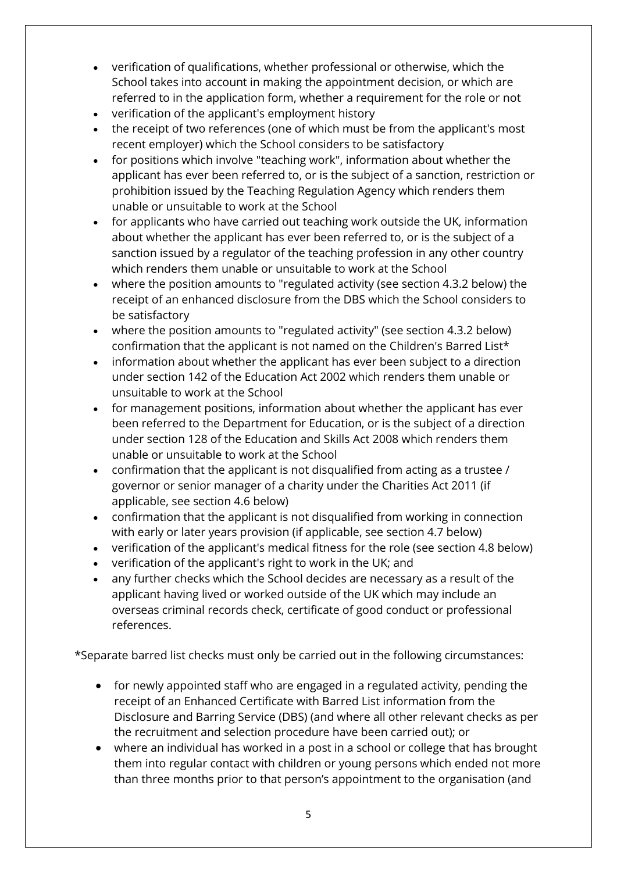- verification of qualifications, whether professional or otherwise, which the School takes into account in making the appointment decision, or which are referred to in the application form, whether a requirement for the role or not
- verification of the applicant's employment history
- the receipt of two references (one of which must be from the applicant's most recent employer) which the School considers to be satisfactory
- for positions which involve "teaching work", information about whether the applicant has ever been referred to, or is the subject of a sanction, restriction or prohibition issued by the Teaching Regulation Agency which renders them unable or unsuitable to work at the School
- for applicants who have carried out teaching work outside the UK, information about whether the applicant has ever been referred to, or is the subject of a sanction issued by a regulator of the teaching profession in any other country which renders them unable or unsuitable to work at the School
- where the position amounts to "regulated activity (see section 4.3.2 below) the receipt of an enhanced disclosure from the DBS which the School considers to be satisfactory
- where the position amounts to "regulated activity" (see section 4.3.2 below) confirmation that the applicant is not named on the Children's Barred List\*
- information about whether the applicant has ever been subject to a direction under section 142 of the Education Act 2002 which renders them unable or unsuitable to work at the School
- for management positions, information about whether the applicant has ever been referred to the Department for Education, or is the subject of a direction under section 128 of the Education and Skills Act 2008 which renders them unable or unsuitable to work at the School
- confirmation that the applicant is not disqualified from acting as a trustee / governor or senior manager of a charity under the Charities Act 2011 (if applicable, see section 4.6 below)
- confirmation that the applicant is not disqualified from working in connection with early or later years provision (if applicable, see section 4.7 below)
- verification of the applicant's medical fitness for the role (see section 4.8 below)
- verification of the applicant's right to work in the UK; and
- any further checks which the School decides are necessary as a result of the applicant having lived or worked outside of the UK which may include an overseas criminal records check, certificate of good conduct or professional references.

\*Separate barred list checks must only be carried out in the following circumstances:

- for newly appointed staff who are engaged in a regulated activity, pending the receipt of an Enhanced Certificate with Barred List information from the Disclosure and Barring Service (DBS) (and where all other relevant checks as per the recruitment and selection procedure have been carried out); or
- where an individual has worked in a post in a school or college that has brought them into regular contact with children or young persons which ended not more than three months prior to that person's appointment to the organisation (and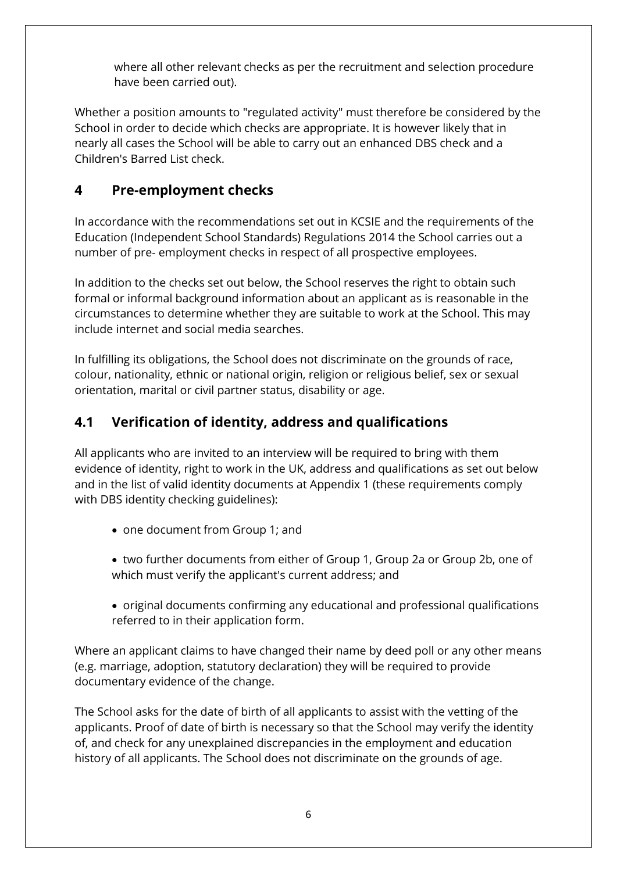where all other relevant checks as per the recruitment and selection procedure have been carried out).

Whether a position amounts to "regulated activity" must therefore be considered by the School in order to decide which checks are appropriate. It is however likely that in nearly all cases the School will be able to carry out an enhanced DBS check and a Children's Barred List check.

# <span id="page-5-0"></span>**4 Pre-employment checks**

In accordance with the recommendations set out in KCSIE and the requirements of the Education (Independent School Standards) Regulations 2014 the School carries out a number of pre- employment checks in respect of all prospective employees.

In addition to the checks set out below, the School reserves the right to obtain such formal or informal background information about an applicant as is reasonable in the circumstances to determine whether they are suitable to work at the School. This may include internet and social media searches.

In fulfilling its obligations, the School does not discriminate on the grounds of race, colour, nationality, ethnic or national origin, religion or religious belief, sex or sexual orientation, marital or civil partner status, disability or age.

# <span id="page-5-1"></span>**4.1 Verification of identity, address and qualifications**

All applicants who are invited to an interview will be required to bring with them evidence of identity, right to work in the UK, address and qualifications as set out below and in the list of valid identity documents at Appendix 1 (these requirements comply with DBS identity checking guidelines):

- one document from Group 1; and
- two further documents from either of Group 1, Group 2a or Group 2b, one of which must verify the applicant's current address; and
- original documents confirming any educational and professional qualifications referred to in their application form.

Where an applicant claims to have changed their name by deed poll or any other means (e.g. marriage, adoption, statutory declaration) they will be required to provide documentary evidence of the change.

The School asks for the date of birth of all applicants to assist with the vetting of the applicants. Proof of date of birth is necessary so that the School may verify the identity of, and check for any unexplained discrepancies in the employment and education history of all applicants. The School does not discriminate on the grounds of age.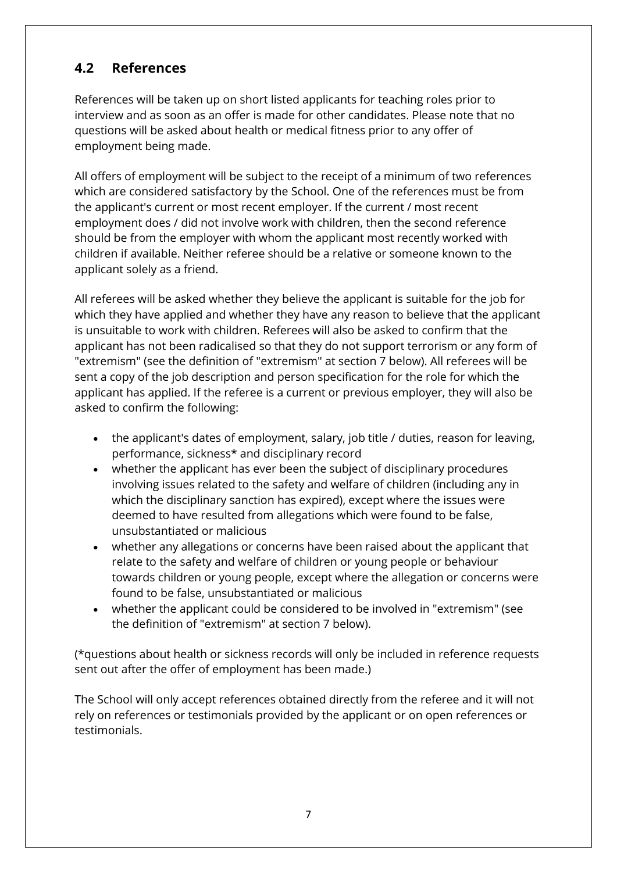# <span id="page-6-0"></span>**4.2 References**

References will be taken up on short listed applicants for teaching roles prior to interview and as soon as an offer is made for other candidates. Please note that no questions will be asked about health or medical fitness prior to any offer of employment being made.

All offers of employment will be subject to the receipt of a minimum of two references which are considered satisfactory by the School. One of the references must be from the applicant's current or most recent employer. If the current / most recent employment does / did not involve work with children, then the second reference should be from the employer with whom the applicant most recently worked with children if available. Neither referee should be a relative or someone known to the applicant solely as a friend.

All referees will be asked whether they believe the applicant is suitable for the job for which they have applied and whether they have any reason to believe that the applicant is unsuitable to work with children. Referees will also be asked to confirm that the applicant has not been radicalised so that they do not support terrorism or any form of "extremism" (see the definition of "extremism" at section 7 below). All referees will be sent a copy of the job description and person specification for the role for which the applicant has applied. If the referee is a current or previous employer, they will also be asked to confirm the following:

- the applicant's dates of employment, salary, job title / duties, reason for leaving, performance, sickness\* and disciplinary record
- whether the applicant has ever been the subject of disciplinary procedures involving issues related to the safety and welfare of children (including any in which the disciplinary sanction has expired), except where the issues were deemed to have resulted from allegations which were found to be false, unsubstantiated or malicious
- whether any allegations or concerns have been raised about the applicant that relate to the safety and welfare of children or young people or behaviour towards children or young people, except where the allegation or concerns were found to be false, unsubstantiated or malicious
- whether the applicant could be considered to be involved in "extremism" (see the definition of "extremism" at section 7 below).

(\*questions about health or sickness records will only be included in reference requests sent out after the offer of employment has been made.)

The School will only accept references obtained directly from the referee and it will not rely on references or testimonials provided by the applicant or on open references or testimonials.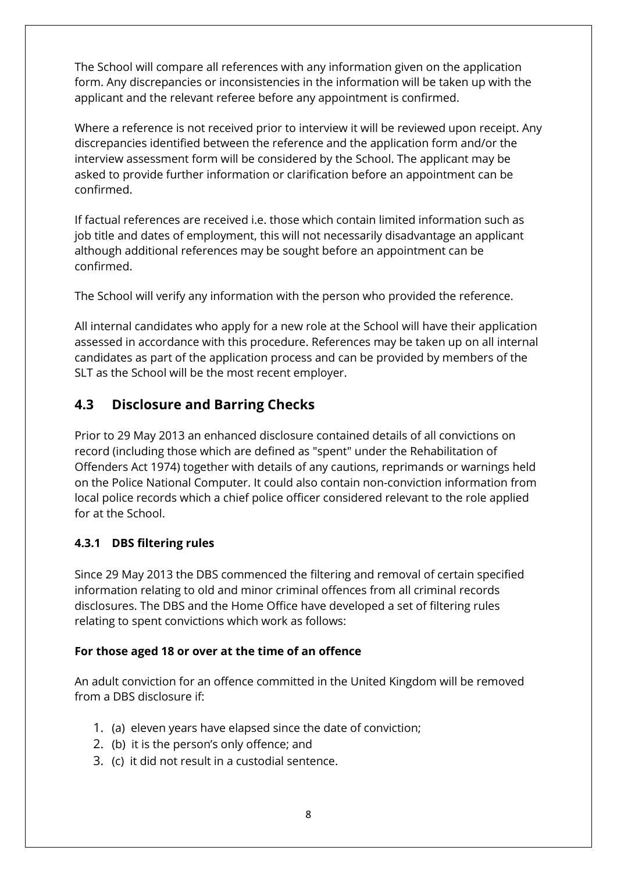The School will compare all references with any information given on the application form. Any discrepancies or inconsistencies in the information will be taken up with the applicant and the relevant referee before any appointment is confirmed.

Where a reference is not received prior to interview it will be reviewed upon receipt. Any discrepancies identified between the reference and the application form and/or the interview assessment form will be considered by the School. The applicant may be asked to provide further information or clarification before an appointment can be confirmed.

If factual references are received i.e. those which contain limited information such as job title and dates of employment, this will not necessarily disadvantage an applicant although additional references may be sought before an appointment can be confirmed.

The School will verify any information with the person who provided the reference.

All internal candidates who apply for a new role at the School will have their application assessed in accordance with this procedure. References may be taken up on all internal candidates as part of the application process and can be provided by members of the SLT as the School will be the most recent employer.

# <span id="page-7-0"></span>**4.3 Disclosure and Barring Checks**

Prior to 29 May 2013 an enhanced disclosure contained details of all convictions on record (including those which are defined as "spent" under the Rehabilitation of Offenders Act 1974) together with details of any cautions, reprimands or warnings held on the Police National Computer. It could also contain non-conviction information from local police records which a chief police officer considered relevant to the role applied for at the School.

#### **4.3.1 DBS filtering rules**

Since 29 May 2013 the DBS commenced the filtering and removal of certain specified information relating to old and minor criminal offences from all criminal records disclosures. The DBS and the Home Office have developed a set of filtering rules relating to spent convictions which work as follows:

#### **For those aged 18 or over at the time of an offence**

An adult conviction for an offence committed in the United Kingdom will be removed from a DBS disclosure if:

- 1. (a) eleven years have elapsed since the date of conviction;
- 2. (b) it is the person's only offence; and
- 3. (c) it did not result in a custodial sentence.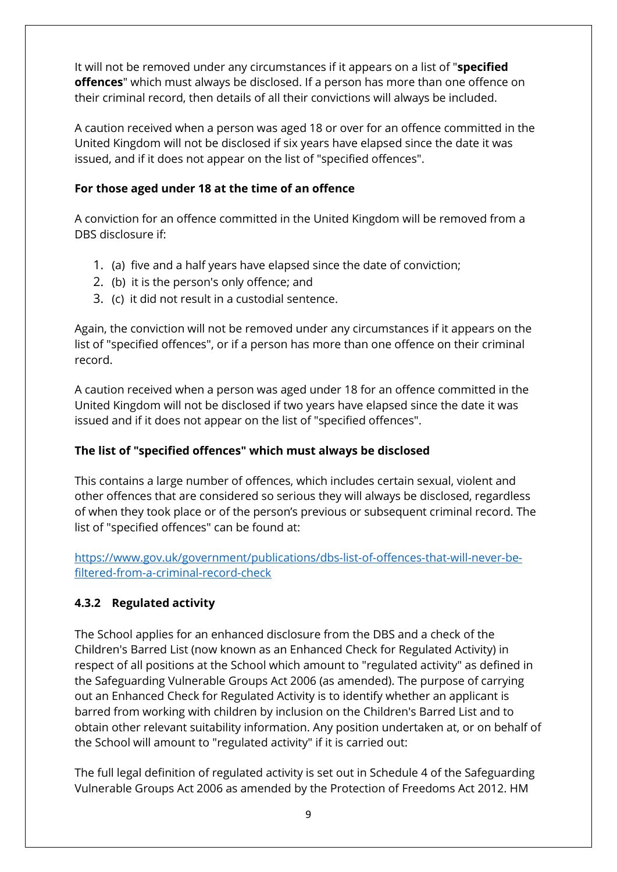It will not be removed under any circumstances if it appears on a list of "**specified offences**" which must always be disclosed. If a person has more than one offence on their criminal record, then details of all their convictions will always be included.

A caution received when a person was aged 18 or over for an offence committed in the United Kingdom will not be disclosed if six years have elapsed since the date it was issued, and if it does not appear on the list of "specified offences".

#### **For those aged under 18 at the time of an offence**

A conviction for an offence committed in the United Kingdom will be removed from a DBS disclosure if:

- 1. (a) five and a half years have elapsed since the date of conviction;
- 2. (b) it is the person's only offence; and
- 3. (c) it did not result in a custodial sentence.

Again, the conviction will not be removed under any circumstances if it appears on the list of "specified offences", or if a person has more than one offence on their criminal record.

A caution received when a person was aged under 18 for an offence committed in the United Kingdom will not be disclosed if two years have elapsed since the date it was issued and if it does not appear on the list of "specified offences".

#### **The list of "specified offences" which must always be disclosed**

This contains a large number of offences, which includes certain sexual, violent and other offences that are considered so serious they will always be disclosed, regardless of when they took place or of the person's previous or subsequent criminal record. The list of "specified offences" can be found at:

[https://www.gov.uk/government/publications/dbs-list-of-offences-that-will-never-be](https://www.gov.uk/government/publications/dbs-list-of-offences-that-will-never-be-filtered-from-a-criminal-record-check)[filtered-from-a-criminal-record-check](https://www.gov.uk/government/publications/dbs-list-of-offences-that-will-never-be-filtered-from-a-criminal-record-check)

#### **4.3.2 Regulated activity**

The School applies for an enhanced disclosure from the DBS and a check of the Children's Barred List (now known as an Enhanced Check for Regulated Activity) in respect of all positions at the School which amount to "regulated activity" as defined in the Safeguarding Vulnerable Groups Act 2006 (as amended). The purpose of carrying out an Enhanced Check for Regulated Activity is to identify whether an applicant is barred from working with children by inclusion on the Children's Barred List and to obtain other relevant suitability information. Any position undertaken at, or on behalf of the School will amount to "regulated activity" if it is carried out:

The full legal definition of regulated activity is set out in Schedule 4 of the Safeguarding Vulnerable Groups Act 2006 as amended by the Protection of Freedoms Act 2012. HM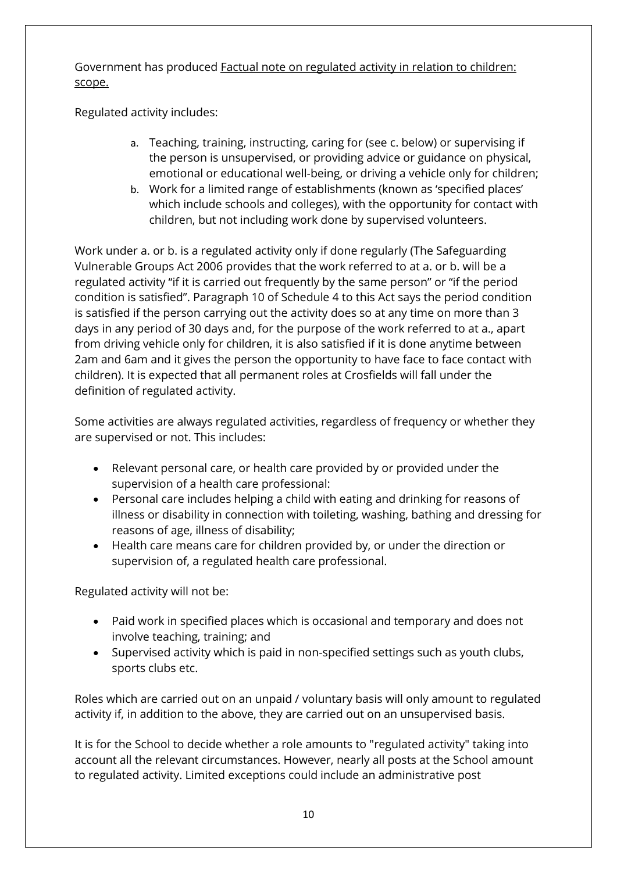Government has produced Factual note on regulated activity in relation to children: scope.

Regulated activity includes:

- a. Teaching, training, instructing, caring for (see c. below) or supervising if the person is unsupervised, or providing advice or guidance on physical, emotional or educational well-being, or driving a vehicle only for children;
- b. Work for a limited range of establishments (known as 'specified places' which include schools and colleges), with the opportunity for contact with children, but not including work done by supervised volunteers.

Work under a. or b. is a regulated activity only if done regularly (The Safeguarding Vulnerable Groups Act 2006 provides that the work referred to at a. or b. will be a regulated activity "if it is carried out frequently by the same person" or "if the period condition is satisfied". Paragraph 10 of Schedule 4 to this Act says the period condition is satisfied if the person carrying out the activity does so at any time on more than 3 days in any period of 30 days and, for the purpose of the work referred to at a., apart from driving vehicle only for children, it is also satisfied if it is done anytime between 2am and 6am and it gives the person the opportunity to have face to face contact with children). It is expected that all permanent roles at Crosfields will fall under the definition of regulated activity.

Some activities are always regulated activities, regardless of frequency or whether they are supervised or not. This includes:

- Relevant personal care, or health care provided by or provided under the supervision of a health care professional:
- Personal care includes helping a child with eating and drinking for reasons of illness or disability in connection with toileting, washing, bathing and dressing for reasons of age, illness of disability;
- Health care means care for children provided by, or under the direction or supervision of, a regulated health care professional.

Regulated activity will not be:

- Paid work in specified places which is occasional and temporary and does not involve teaching, training; and
- Supervised activity which is paid in non-specified settings such as youth clubs, sports clubs etc.

Roles which are carried out on an unpaid / voluntary basis will only amount to regulated activity if, in addition to the above, they are carried out on an unsupervised basis.

It is for the School to decide whether a role amounts to "regulated activity" taking into account all the relevant circumstances. However, nearly all posts at the School amount to regulated activity. Limited exceptions could include an administrative post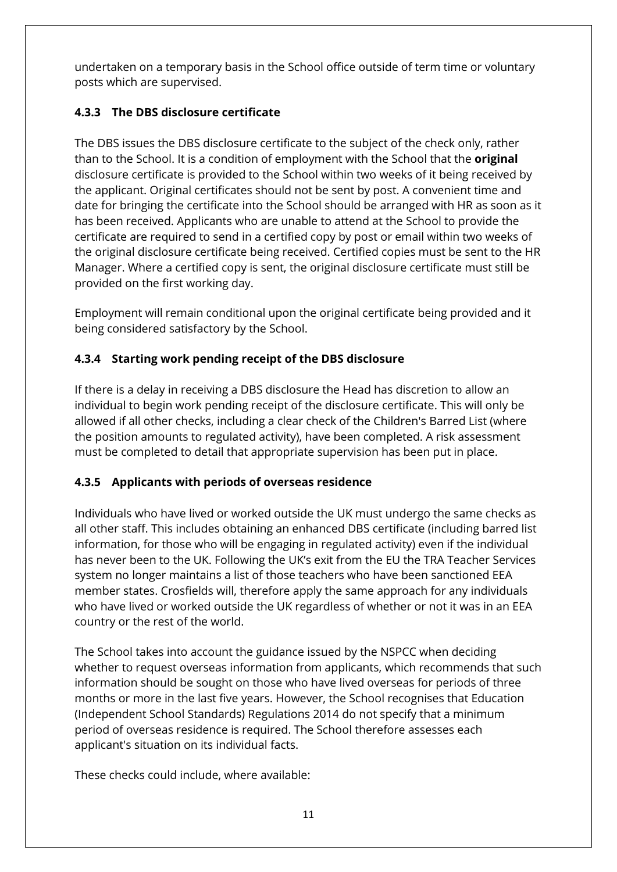undertaken on a temporary basis in the School office outside of term time or voluntary posts which are supervised.

### **4.3.3 The DBS disclosure certificate**

The DBS issues the DBS disclosure certificate to the subject of the check only, rather than to the School. It is a condition of employment with the School that the **original**  disclosure certificate is provided to the School within two weeks of it being received by the applicant. Original certificates should not be sent by post. A convenient time and date for bringing the certificate into the School should be arranged with HR as soon as it has been received. Applicants who are unable to attend at the School to provide the certificate are required to send in a certified copy by post or email within two weeks of the original disclosure certificate being received. Certified copies must be sent to the HR Manager. Where a certified copy is sent, the original disclosure certificate must still be provided on the first working day.

Employment will remain conditional upon the original certificate being provided and it being considered satisfactory by the School.

### **4.3.4 Starting work pending receipt of the DBS disclosure**

If there is a delay in receiving a DBS disclosure the Head has discretion to allow an individual to begin work pending receipt of the disclosure certificate. This will only be allowed if all other checks, including a clear check of the Children's Barred List (where the position amounts to regulated activity), have been completed. A risk assessment must be completed to detail that appropriate supervision has been put in place.

### **4.3.5 Applicants with periods of overseas residence**

Individuals who have lived or worked outside the UK must undergo the same checks as all other staff. This includes obtaining an enhanced DBS certificate (including barred list information, for those who will be engaging in regulated activity) even if the individual has never been to the UK. Following the UK's exit from the EU the TRA Teacher Services system no longer maintains a list of those teachers who have been sanctioned EEA member states. Crosfields will, therefore apply the same approach for any individuals who have lived or worked outside the UK regardless of whether or not it was in an EEA country or the rest of the world.

The School takes into account the guidance issued by the NSPCC when deciding whether to request overseas information from applicants, which recommends that such information should be sought on those who have lived overseas for periods of three months or more in the last five years. However, the School recognises that Education (Independent School Standards) Regulations 2014 do not specify that a minimum period of overseas residence is required. The School therefore assesses each applicant's situation on its individual facts.

These checks could include, where available: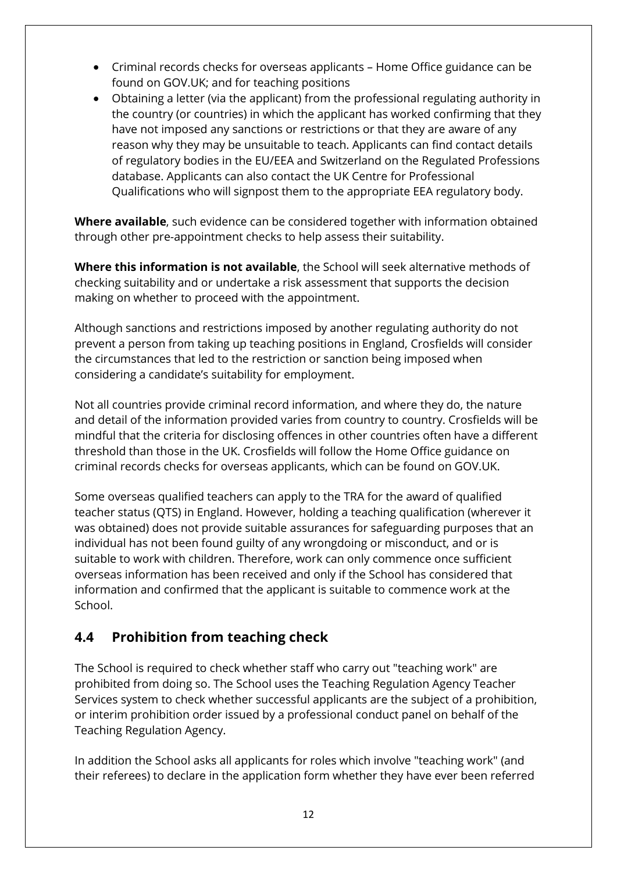- Criminal records checks for overseas applicants Home Office guidance can be found on GOV.UK; and for teaching positions
- Obtaining a letter (via the applicant) from the professional regulating authority in the country (or countries) in which the applicant has worked confirming that they have not imposed any sanctions or restrictions or that they are aware of any reason why they may be unsuitable to teach. Applicants can find contact details of regulatory bodies in the EU/EEA and Switzerland on the Regulated Professions database. Applicants can also contact the UK Centre for Professional Qualifications who will signpost them to the appropriate EEA regulatory body.

**Where available**, such evidence can be considered together with information obtained through other pre-appointment checks to help assess their suitability.

**Where this information is not available**, the School will seek alternative methods of checking suitability and or undertake a risk assessment that supports the decision making on whether to proceed with the appointment.

Although sanctions and restrictions imposed by another regulating authority do not prevent a person from taking up teaching positions in England, Crosfields will consider the circumstances that led to the restriction or sanction being imposed when considering a candidate's suitability for employment.

Not all countries provide criminal record information, and where they do, the nature and detail of the information provided varies from country to country. Crosfields will be mindful that the criteria for disclosing offences in other countries often have a different threshold than those in the UK. Crosfields will follow the Home Office guidance on criminal records checks for overseas applicants, which can be found on GOV.UK.

Some overseas qualified teachers can apply to the TRA for the award of qualified teacher status (QTS) in England. However, holding a teaching qualification (wherever it was obtained) does not provide suitable assurances for safeguarding purposes that an individual has not been found guilty of any wrongdoing or misconduct, and or is suitable to work with children. Therefore, work can only commence once sufficient overseas information has been received and only if the School has considered that information and confirmed that the applicant is suitable to commence work at the School.

# <span id="page-11-0"></span>**4.4 Prohibition from teaching check**

The School is required to check whether staff who carry out "teaching work" are prohibited from doing so. The School uses the Teaching Regulation Agency Teacher Services system to check whether successful applicants are the subject of a prohibition, or interim prohibition order issued by a professional conduct panel on behalf of the Teaching Regulation Agency.

In addition the School asks all applicants for roles which involve "teaching work" (and their referees) to declare in the application form whether they have ever been referred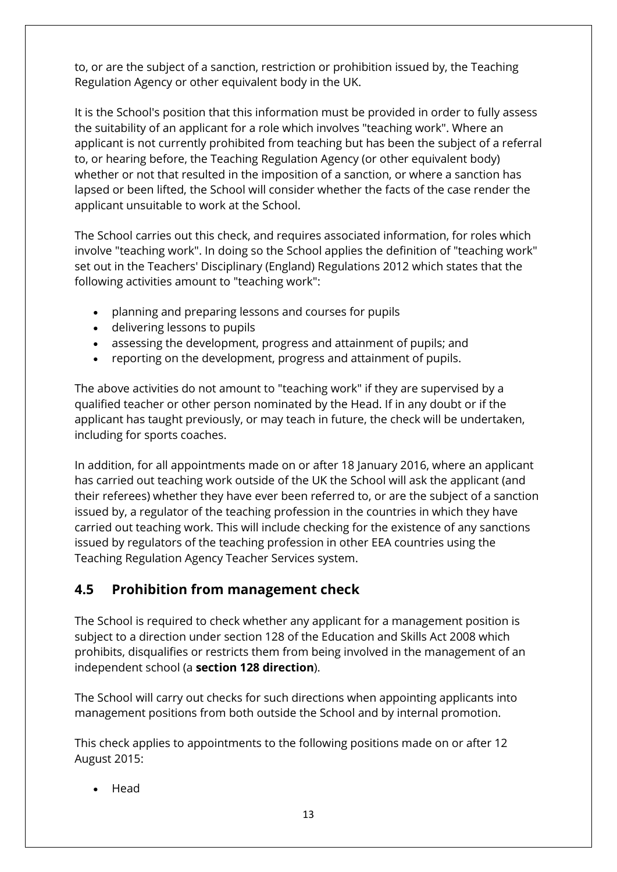to, or are the subject of a sanction, restriction or prohibition issued by, the Teaching Regulation Agency or other equivalent body in the UK.

It is the School's position that this information must be provided in order to fully assess the suitability of an applicant for a role which involves "teaching work". Where an applicant is not currently prohibited from teaching but has been the subject of a referral to, or hearing before, the Teaching Regulation Agency (or other equivalent body) whether or not that resulted in the imposition of a sanction, or where a sanction has lapsed or been lifted, the School will consider whether the facts of the case render the applicant unsuitable to work at the School.

The School carries out this check, and requires associated information, for roles which involve "teaching work". In doing so the School applies the definition of "teaching work" set out in the Teachers' Disciplinary (England) Regulations 2012 which states that the following activities amount to "teaching work":

- planning and preparing lessons and courses for pupils
- delivering lessons to pupils
- assessing the development, progress and attainment of pupils; and
- reporting on the development, progress and attainment of pupils.

The above activities do not amount to "teaching work" if they are supervised by a qualified teacher or other person nominated by the Head. If in any doubt or if the applicant has taught previously, or may teach in future, the check will be undertaken, including for sports coaches.

In addition, for all appointments made on or after 18 January 2016, where an applicant has carried out teaching work outside of the UK the School will ask the applicant (and their referees) whether they have ever been referred to, or are the subject of a sanction issued by, a regulator of the teaching profession in the countries in which they have carried out teaching work. This will include checking for the existence of any sanctions issued by regulators of the teaching profession in other EEA countries using the Teaching Regulation Agency Teacher Services system.

### <span id="page-12-0"></span>**4.5 Prohibition from management check**

The School is required to check whether any applicant for a management position is subject to a direction under section 128 of the Education and Skills Act 2008 which prohibits, disqualifies or restricts them from being involved in the management of an independent school (a **section 128 direction**).

The School will carry out checks for such directions when appointing applicants into management positions from both outside the School and by internal promotion.

This check applies to appointments to the following positions made on or after 12 August 2015:

• Head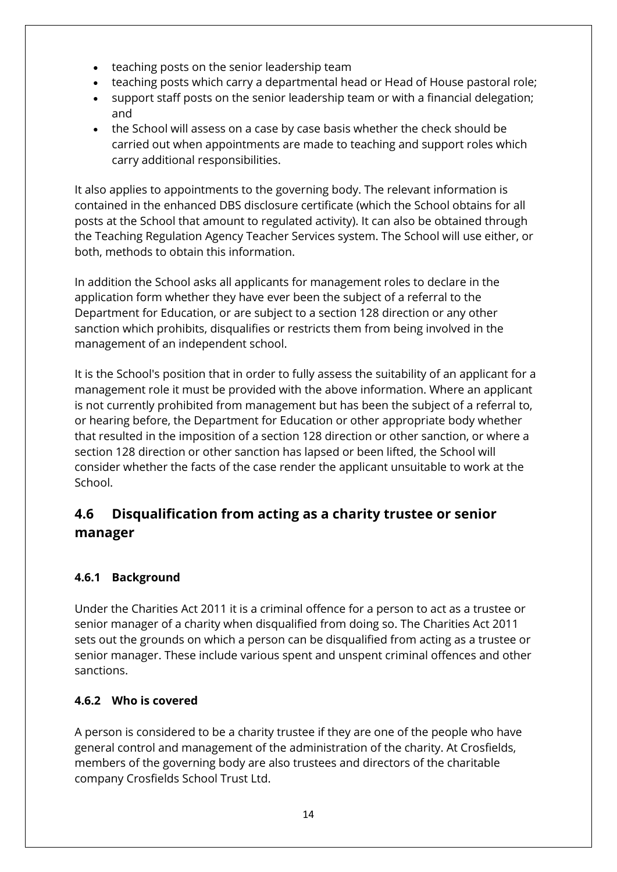- teaching posts on the senior leadership team
- teaching posts which carry a departmental head or Head of House pastoral role;
- support staff posts on the senior leadership team or with a financial delegation; and
- the School will assess on a case by case basis whether the check should be carried out when appointments are made to teaching and support roles which carry additional responsibilities.

It also applies to appointments to the governing body. The relevant information is contained in the enhanced DBS disclosure certificate (which the School obtains for all posts at the School that amount to regulated activity). It can also be obtained through the Teaching Regulation Agency Teacher Services system. The School will use either, or both, methods to obtain this information.

In addition the School asks all applicants for management roles to declare in the application form whether they have ever been the subject of a referral to the Department for Education, or are subject to a section 128 direction or any other sanction which prohibits, disqualifies or restricts them from being involved in the management of an independent school.

It is the School's position that in order to fully assess the suitability of an applicant for a management role it must be provided with the above information. Where an applicant is not currently prohibited from management but has been the subject of a referral to, or hearing before, the Department for Education or other appropriate body whether that resulted in the imposition of a section 128 direction or other sanction, or where a section 128 direction or other sanction has lapsed or been lifted, the School will consider whether the facts of the case render the applicant unsuitable to work at the School.

# <span id="page-13-0"></span>**4.6 Disqualification from acting as a charity trustee or senior manager**

### **4.6.1 Background**

Under the Charities Act 2011 it is a criminal offence for a person to act as a trustee or senior manager of a charity when disqualified from doing so. The Charities Act 2011 sets out the grounds on which a person can be disqualified from acting as a trustee or senior manager. These include various spent and unspent criminal offences and other sanctions.

#### **4.6.2 Who is covered**

A person is considered to be a charity trustee if they are one of the people who have general control and management of the administration of the charity. At Crosfields, members of the governing body are also trustees and directors of the charitable company Crosfields School Trust Ltd.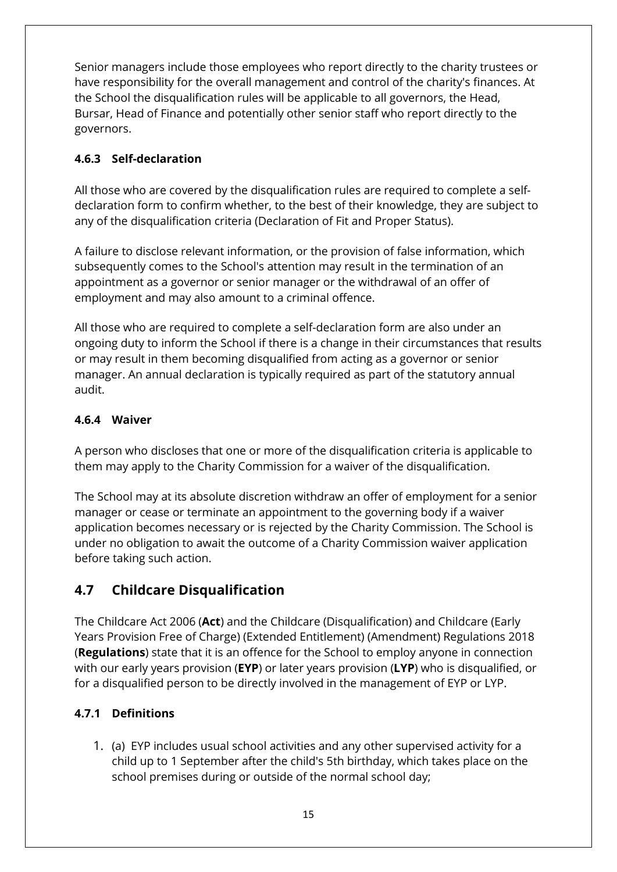Senior managers include those employees who report directly to the charity trustees or have responsibility for the overall management and control of the charity's finances. At the School the disqualification rules will be applicable to all governors, the Head, Bursar, Head of Finance and potentially other senior staff who report directly to the governors.

#### **4.6.3 Self-declaration**

All those who are covered by the disqualification rules are required to complete a selfdeclaration form to confirm whether, to the best of their knowledge, they are subject to any of the disqualification criteria (Declaration of Fit and Proper Status).

A failure to disclose relevant information, or the provision of false information, which subsequently comes to the School's attention may result in the termination of an appointment as a governor or senior manager or the withdrawal of an offer of employment and may also amount to a criminal offence.

All those who are required to complete a self-declaration form are also under an ongoing duty to inform the School if there is a change in their circumstances that results or may result in them becoming disqualified from acting as a governor or senior manager. An annual declaration is typically required as part of the statutory annual audit.

#### **4.6.4 Waiver**

A person who discloses that one or more of the disqualification criteria is applicable to them may apply to the Charity Commission for a waiver of the disqualification.

The School may at its absolute discretion withdraw an offer of employment for a senior manager or cease or terminate an appointment to the governing body if a waiver application becomes necessary or is rejected by the Charity Commission. The School is under no obligation to await the outcome of a Charity Commission waiver application before taking such action.

# <span id="page-14-0"></span>**4.7 Childcare Disqualification**

The Childcare Act 2006 (**Act**) and the Childcare (Disqualification) and Childcare (Early Years Provision Free of Charge) (Extended Entitlement) (Amendment) Regulations 2018 (**Regulations**) state that it is an offence for the School to employ anyone in connection with our early years provision (**EYP**) or later years provision (**LYP**) who is disqualified, or for a disqualified person to be directly involved in the management of EYP or LYP.

### **4.7.1 Definitions**

1. (a) EYP includes usual school activities and any other supervised activity for a child up to 1 September after the child's 5th birthday, which takes place on the school premises during or outside of the normal school day;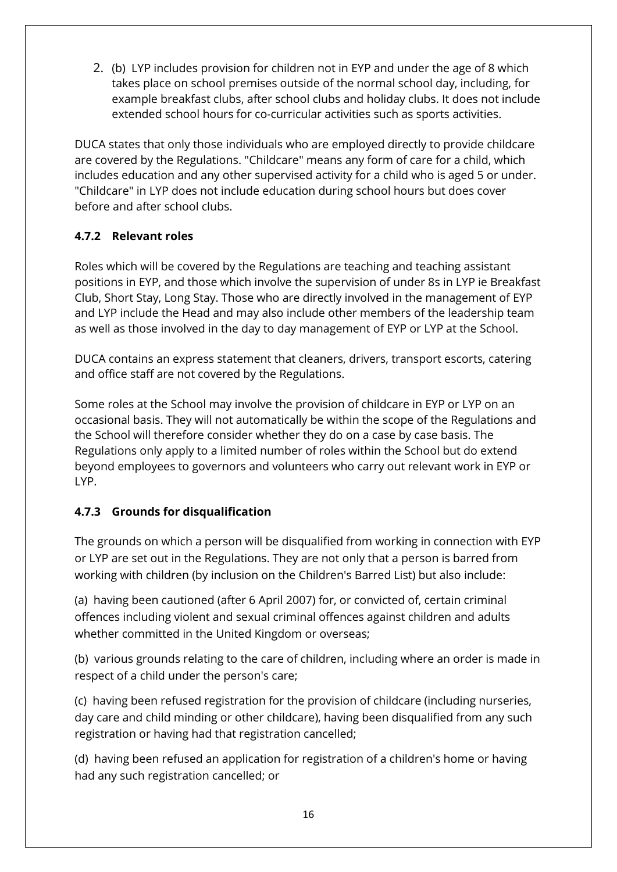2. (b) LYP includes provision for children not in EYP and under the age of 8 which takes place on school premises outside of the normal school day, including, for example breakfast clubs, after school clubs and holiday clubs. It does not include extended school hours for co-curricular activities such as sports activities.

DUCA states that only those individuals who are employed directly to provide childcare are covered by the Regulations. "Childcare" means any form of care for a child, which includes education and any other supervised activity for a child who is aged 5 or under. "Childcare" in LYP does not include education during school hours but does cover before and after school clubs.

#### **4.7.2 Relevant roles**

Roles which will be covered by the Regulations are teaching and teaching assistant positions in EYP, and those which involve the supervision of under 8s in LYP ie Breakfast Club, Short Stay, Long Stay. Those who are directly involved in the management of EYP and LYP include the Head and may also include other members of the leadership team as well as those involved in the day to day management of EYP or LYP at the School.

DUCA contains an express statement that cleaners, drivers, transport escorts, catering and office staff are not covered by the Regulations.

Some roles at the School may involve the provision of childcare in EYP or LYP on an occasional basis. They will not automatically be within the scope of the Regulations and the School will therefore consider whether they do on a case by case basis. The Regulations only apply to a limited number of roles within the School but do extend beyond employees to governors and volunteers who carry out relevant work in EYP or LYP.

### **4.7.3 Grounds for disqualification**

The grounds on which a person will be disqualified from working in connection with EYP or LYP are set out in the Regulations. They are not only that a person is barred from working with children (by inclusion on the Children's Barred List) but also include:

(a) having been cautioned (after 6 April 2007) for, or convicted of, certain criminal offences including violent and sexual criminal offences against children and adults whether committed in the United Kingdom or overseas;

(b) various grounds relating to the care of children, including where an order is made in respect of a child under the person's care;

(c) having been refused registration for the provision of childcare (including nurseries, day care and child minding or other childcare), having been disqualified from any such registration or having had that registration cancelled;

(d) having been refused an application for registration of a children's home or having had any such registration cancelled; or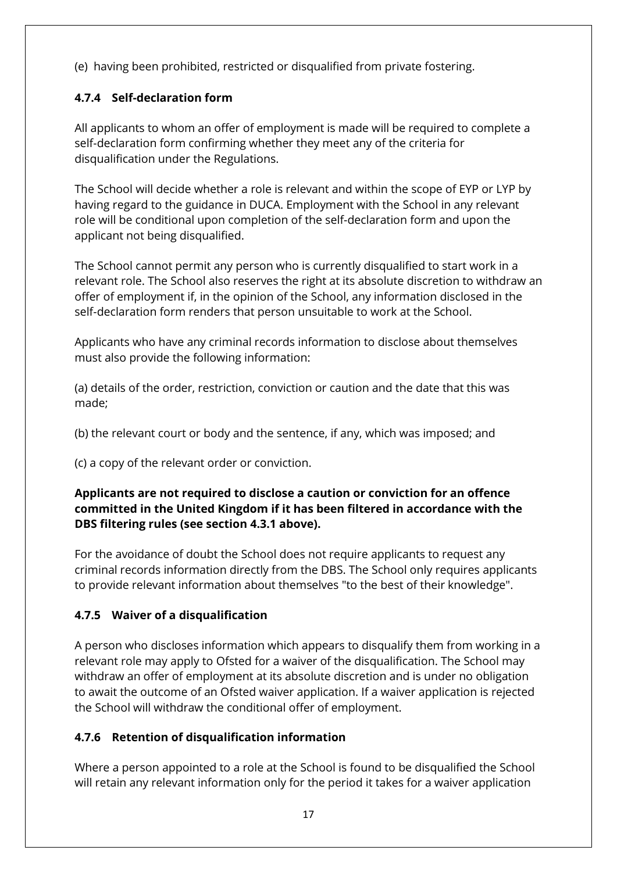(e) having been prohibited, restricted or disqualified from private fostering.

### **4.7.4 Self-declaration form**

All applicants to whom an offer of employment is made will be required to complete a self-declaration form confirming whether they meet any of the criteria for disqualification under the Regulations.

The School will decide whether a role is relevant and within the scope of EYP or LYP by having regard to the guidance in DUCA. Employment with the School in any relevant role will be conditional upon completion of the self-declaration form and upon the applicant not being disqualified.

The School cannot permit any person who is currently disqualified to start work in a relevant role. The School also reserves the right at its absolute discretion to withdraw an offer of employment if, in the opinion of the School, any information disclosed in the self-declaration form renders that person unsuitable to work at the School.

Applicants who have any criminal records information to disclose about themselves must also provide the following information:

(a) details of the order, restriction, conviction or caution and the date that this was made;

(b) the relevant court or body and the sentence, if any, which was imposed; and

(c) a copy of the relevant order or conviction.

#### **Applicants are not required to disclose a caution or conviction for an offence committed in the United Kingdom if it has been filtered in accordance with the DBS filtering rules (see section 4.3.1 above).**

For the avoidance of doubt the School does not require applicants to request any criminal records information directly from the DBS. The School only requires applicants to provide relevant information about themselves "to the best of their knowledge".

### **4.7.5 Waiver of a disqualification**

A person who discloses information which appears to disqualify them from working in a relevant role may apply to Ofsted for a waiver of the disqualification. The School may withdraw an offer of employment at its absolute discretion and is under no obligation to await the outcome of an Ofsted waiver application. If a waiver application is rejected the School will withdraw the conditional offer of employment.

### **4.7.6 Retention of disqualification information**

Where a person appointed to a role at the School is found to be disqualified the School will retain any relevant information only for the period it takes for a waiver application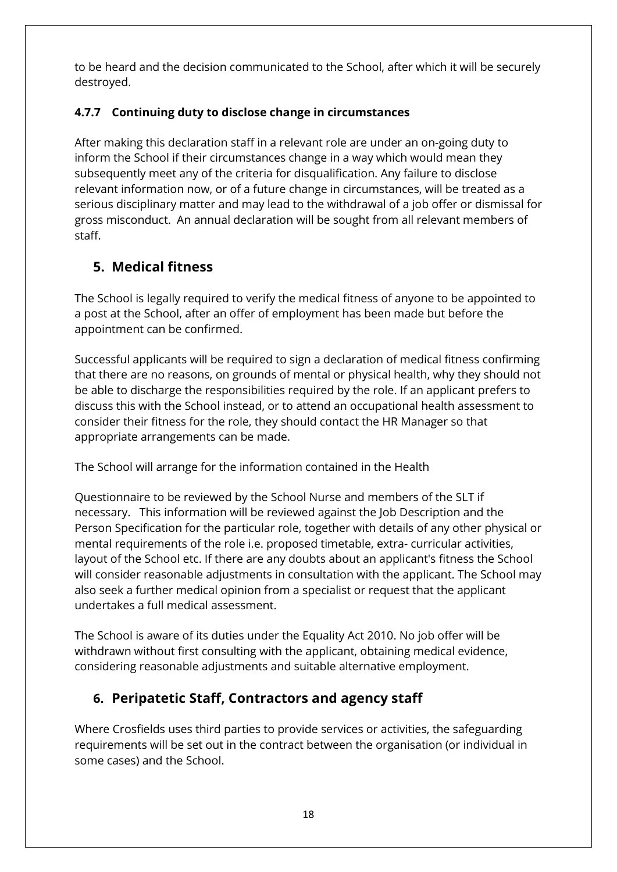to be heard and the decision communicated to the School, after which it will be securely destroyed.

### **4.7.7 Continuing duty to disclose change in circumstances**

After making this declaration staff in a relevant role are under an on-going duty to inform the School if their circumstances change in a way which would mean they subsequently meet any of the criteria for disqualification. Any failure to disclose relevant information now, or of a future change in circumstances, will be treated as a serious disciplinary matter and may lead to the withdrawal of a job offer or dismissal for gross misconduct. An annual declaration will be sought from all relevant members of staff.

# <span id="page-17-0"></span>**5. Medical fitness**

The School is legally required to verify the medical fitness of anyone to be appointed to a post at the School, after an offer of employment has been made but before the appointment can be confirmed.

Successful applicants will be required to sign a declaration of medical fitness confirming that there are no reasons, on grounds of mental or physical health, why they should not be able to discharge the responsibilities required by the role. If an applicant prefers to discuss this with the School instead, or to attend an occupational health assessment to consider their fitness for the role, they should contact the HR Manager so that appropriate arrangements can be made.

The School will arrange for the information contained in the Health

Questionnaire to be reviewed by the School Nurse and members of the SLT if necessary. This information will be reviewed against the Job Description and the Person Specification for the particular role, together with details of any other physical or mental requirements of the role i.e. proposed timetable, extra- curricular activities, layout of the School etc. If there are any doubts about an applicant's fitness the School will consider reasonable adjustments in consultation with the applicant. The School may also seek a further medical opinion from a specialist or request that the applicant undertakes a full medical assessment.

The School is aware of its duties under the Equality Act 2010. No job offer will be withdrawn without first consulting with the applicant, obtaining medical evidence, considering reasonable adjustments and suitable alternative employment.

# <span id="page-17-1"></span>**6. Peripatetic Staff, Contractors and agency staff**

Where Crosfields uses third parties to provide services or activities, the safeguarding requirements will be set out in the contract between the organisation (or individual in some cases) and the School.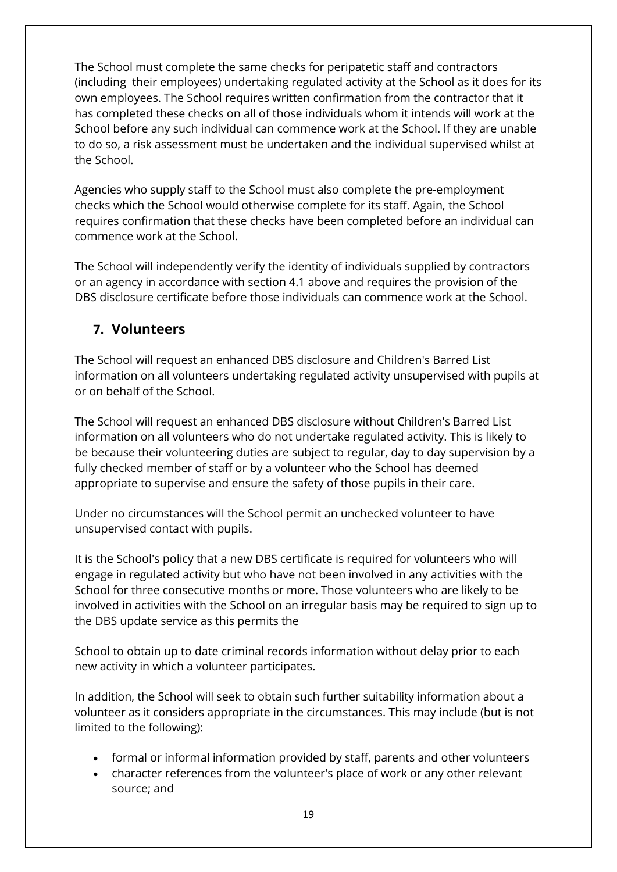The School must complete the same checks for peripatetic staff and contractors (including their employees) undertaking regulated activity at the School as it does for its own employees. The School requires written confirmation from the contractor that it has completed these checks on all of those individuals whom it intends will work at the School before any such individual can commence work at the School. If they are unable to do so, a risk assessment must be undertaken and the individual supervised whilst at the School.

Agencies who supply staff to the School must also complete the pre-employment checks which the School would otherwise complete for its staff. Again, the School requires confirmation that these checks have been completed before an individual can commence work at the School.

The School will independently verify the identity of individuals supplied by contractors or an agency in accordance with section 4.1 above and requires the provision of the DBS disclosure certificate before those individuals can commence work at the School.

# <span id="page-18-0"></span>**7. Volunteers**

The School will request an enhanced DBS disclosure and Children's Barred List information on all volunteers undertaking regulated activity unsupervised with pupils at or on behalf of the School.

The School will request an enhanced DBS disclosure without Children's Barred List information on all volunteers who do not undertake regulated activity. This is likely to be because their volunteering duties are subject to regular, day to day supervision by a fully checked member of staff or by a volunteer who the School has deemed appropriate to supervise and ensure the safety of those pupils in their care.

Under no circumstances will the School permit an unchecked volunteer to have unsupervised contact with pupils.

It is the School's policy that a new DBS certificate is required for volunteers who will engage in regulated activity but who have not been involved in any activities with the School for three consecutive months or more. Those volunteers who are likely to be involved in activities with the School on an irregular basis may be required to sign up to the DBS update service as this permits the

School to obtain up to date criminal records information without delay prior to each new activity in which a volunteer participates.

In addition, the School will seek to obtain such further suitability information about a volunteer as it considers appropriate in the circumstances. This may include (but is not limited to the following):

- formal or informal information provided by staff, parents and other volunteers
- character references from the volunteer's place of work or any other relevant source; and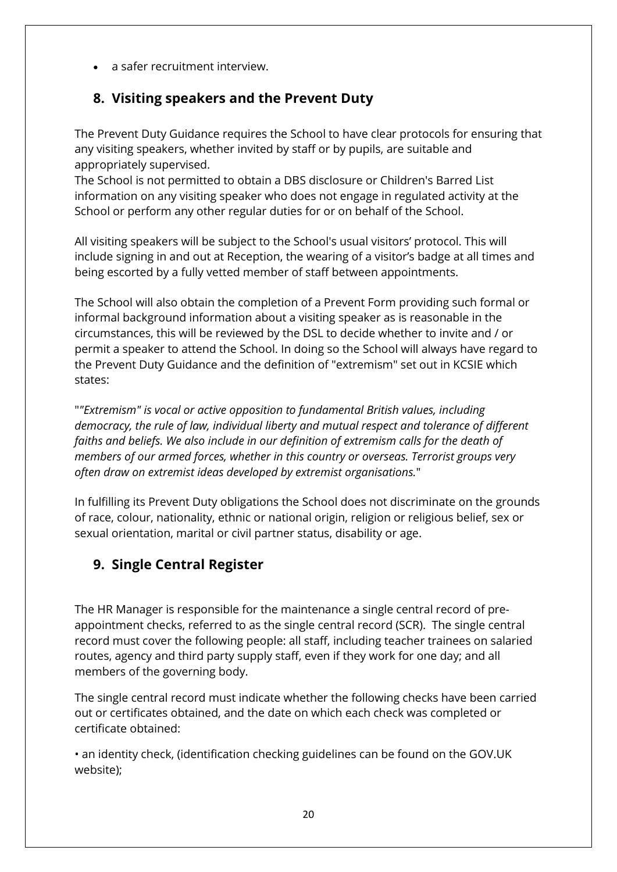• a safer recruitment interview.

# <span id="page-19-0"></span>**8. Visiting speakers and the Prevent Duty**

The Prevent Duty Guidance requires the School to have clear protocols for ensuring that any visiting speakers, whether invited by staff or by pupils, are suitable and appropriately supervised.

The School is not permitted to obtain a DBS disclosure or Children's Barred List information on any visiting speaker who does not engage in regulated activity at the School or perform any other regular duties for or on behalf of the School.

All visiting speakers will be subject to the School's usual visitors' protocol. This will include signing in and out at Reception, the wearing of a visitor's badge at all times and being escorted by a fully vetted member of staff between appointments.

The School will also obtain the completion of a Prevent Form providing such formal or informal background information about a visiting speaker as is reasonable in the circumstances, this will be reviewed by the DSL to decide whether to invite and / or permit a speaker to attend the School. In doing so the School will always have regard to the Prevent Duty Guidance and the definition of "extremism" set out in KCSIE which states:

"*"Extremism" is vocal or active opposition to fundamental British values, including democracy, the rule of law, individual liberty and mutual respect and tolerance of different faiths and beliefs. We also include in our definition of extremism calls for the death of members of our armed forces, whether in this country or overseas. Terrorist groups very often draw on extremist ideas developed by extremist organisations.*"

In fulfilling its Prevent Duty obligations the School does not discriminate on the grounds of race, colour, nationality, ethnic or national origin, religion or religious belief, sex or sexual orientation, marital or civil partner status, disability or age.

# <span id="page-19-1"></span>**9. Single Central Register**

The HR Manager is responsible for the maintenance a single central record of preappointment checks, referred to as the single central record (SCR). The single central record must cover the following people: all staff, including teacher trainees on salaried routes, agency and third party supply staff, even if they work for one day; and all members of the governing body.

The single central record must indicate whether the following checks have been carried out or certificates obtained, and the date on which each check was completed or certificate obtained:

• an identity check, (identification checking guidelines can be found on the GOV.UK website);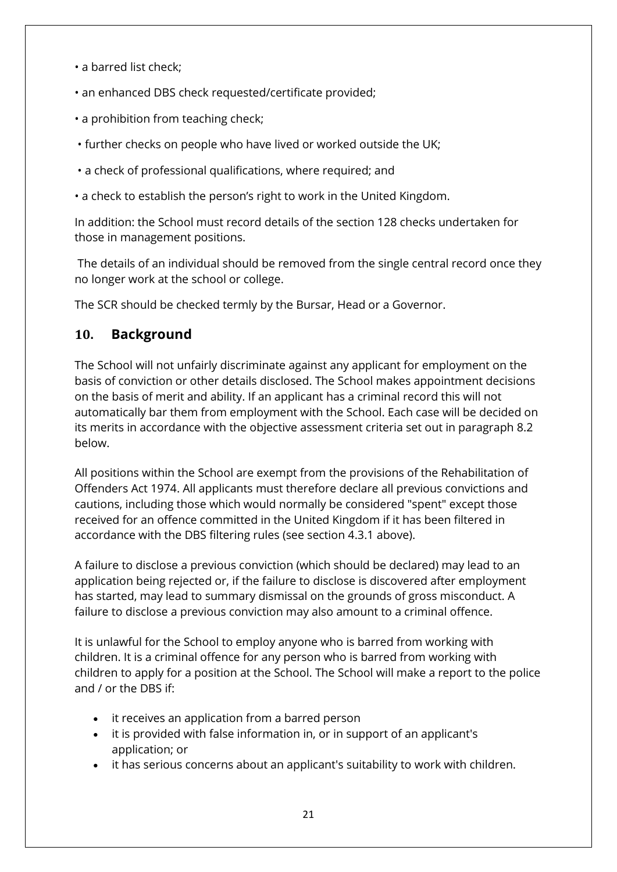- a barred list check;
- an enhanced DBS check requested/certificate provided;
- a prohibition from teaching check;
- further checks on people who have lived or worked outside the UK;
- a check of professional qualifications, where required; and
- a check to establish the person's right to work in the United Kingdom.

In addition: the School must record details of the section 128 checks undertaken for those in management positions.

The details of an individual should be removed from the single central record once they no longer work at the school or college.

The SCR should be checked termly by the Bursar, Head or a Governor.

### <span id="page-20-0"></span>**10. Background**

The School will not unfairly discriminate against any applicant for employment on the basis of conviction or other details disclosed. The School makes appointment decisions on the basis of merit and ability. If an applicant has a criminal record this will not automatically bar them from employment with the School. Each case will be decided on its merits in accordance with the objective assessment criteria set out in paragraph 8.2 below.

All positions within the School are exempt from the provisions of the Rehabilitation of Offenders Act 1974. All applicants must therefore declare all previous convictions and cautions, including those which would normally be considered "spent" except those received for an offence committed in the United Kingdom if it has been filtered in accordance with the DBS filtering rules (see section 4.3.1 above).

A failure to disclose a previous conviction (which should be declared) may lead to an application being rejected or, if the failure to disclose is discovered after employment has started, may lead to summary dismissal on the grounds of gross misconduct. A failure to disclose a previous conviction may also amount to a criminal offence.

It is unlawful for the School to employ anyone who is barred from working with children. It is a criminal offence for any person who is barred from working with children to apply for a position at the School. The School will make a report to the police and / or the DBS if:

- it receives an application from a barred person
- it is provided with false information in, or in support of an applicant's application; or
- it has serious concerns about an applicant's suitability to work with children.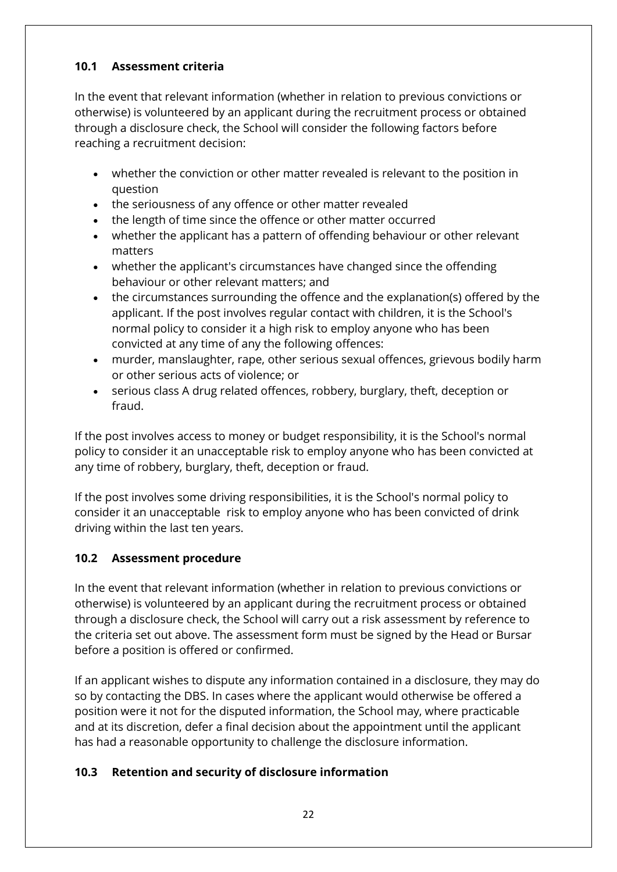#### **10.1 Assessment criteria**

In the event that relevant information (whether in relation to previous convictions or otherwise) is volunteered by an applicant during the recruitment process or obtained through a disclosure check, the School will consider the following factors before reaching a recruitment decision:

- whether the conviction or other matter revealed is relevant to the position in question
- the seriousness of any offence or other matter revealed
- the length of time since the offence or other matter occurred
- whether the applicant has a pattern of offending behaviour or other relevant matters
- whether the applicant's circumstances have changed since the offending behaviour or other relevant matters; and
- the circumstances surrounding the offence and the explanation(s) offered by the applicant. If the post involves regular contact with children, it is the School's normal policy to consider it a high risk to employ anyone who has been convicted at any time of any the following offences:
- murder, manslaughter, rape, other serious sexual offences, grievous bodily harm or other serious acts of violence; or
- serious class A drug related offences, robbery, burglary, theft, deception or fraud.

If the post involves access to money or budget responsibility, it is the School's normal policy to consider it an unacceptable risk to employ anyone who has been convicted at any time of robbery, burglary, theft, deception or fraud.

If the post involves some driving responsibilities, it is the School's normal policy to consider it an unacceptable risk to employ anyone who has been convicted of drink driving within the last ten years.

#### **10.2 Assessment procedure**

In the event that relevant information (whether in relation to previous convictions or otherwise) is volunteered by an applicant during the recruitment process or obtained through a disclosure check, the School will carry out a risk assessment by reference to the criteria set out above. The assessment form must be signed by the Head or Bursar before a position is offered or confirmed.

If an applicant wishes to dispute any information contained in a disclosure, they may do so by contacting the DBS. In cases where the applicant would otherwise be offered a position were it not for the disputed information, the School may, where practicable and at its discretion, defer a final decision about the appointment until the applicant has had a reasonable opportunity to challenge the disclosure information.

#### **10.3 Retention and security of disclosure information**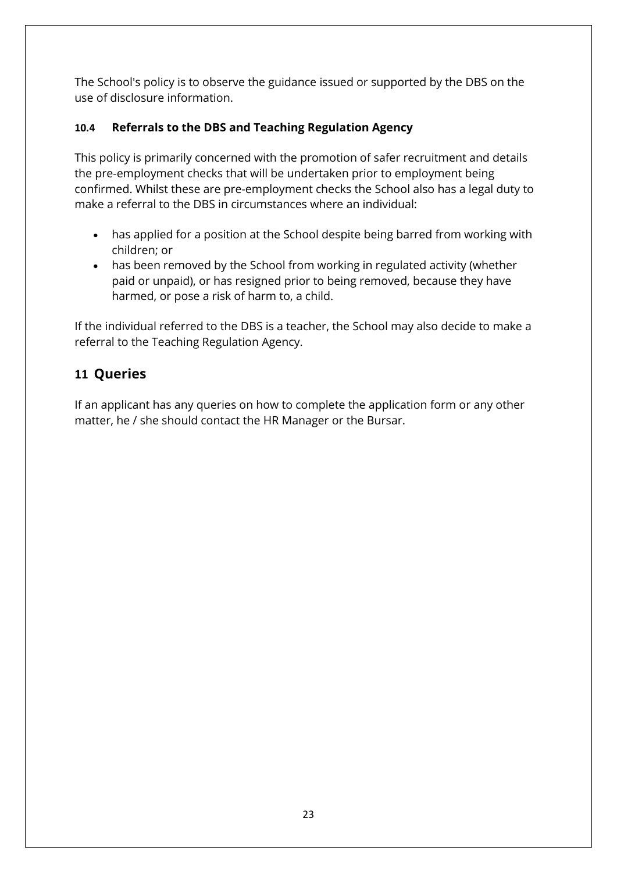The School's policy is to observe the guidance issued or supported by the DBS on the use of disclosure information.

### **10.4 Referrals to the DBS and Teaching Regulation Agency**

This policy is primarily concerned with the promotion of safer recruitment and details the pre-employment checks that will be undertaken prior to employment being confirmed. Whilst these are pre-employment checks the School also has a legal duty to make a referral to the DBS in circumstances where an individual:

- has applied for a position at the School despite being barred from working with children; or
- has been removed by the School from working in regulated activity (whether paid or unpaid), or has resigned prior to being removed, because they have harmed, or pose a risk of harm to, a child.

If the individual referred to the DBS is a teacher, the School may also decide to make a referral to the Teaching Regulation Agency.

# <span id="page-22-0"></span>**11 Queries**

If an applicant has any queries on how to complete the application form or any other matter, he / she should contact the HR Manager or the Bursar.